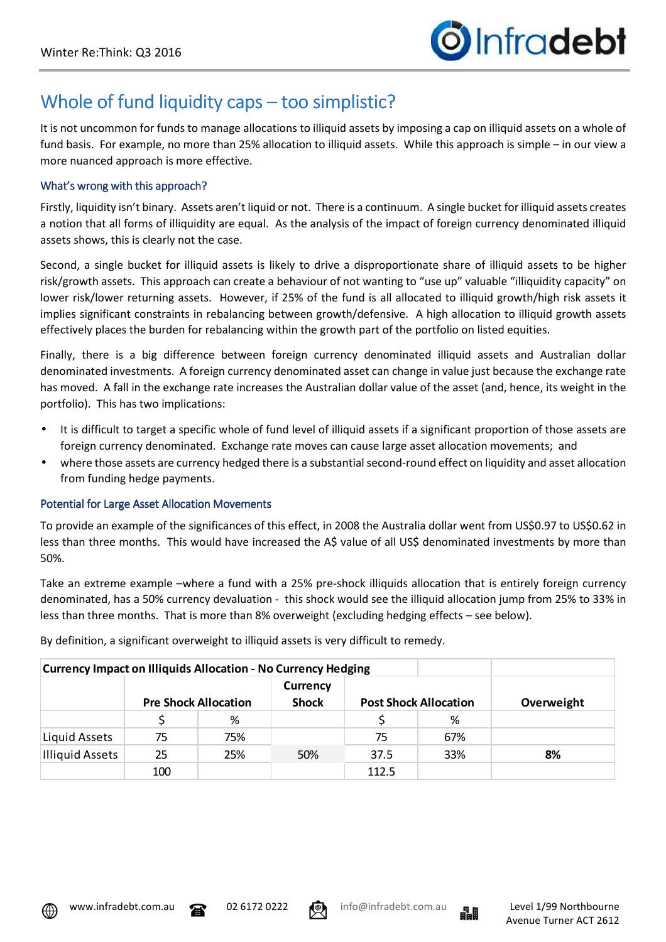# Whole of fund liquidity caps – too simplistic?

It is not uncommon for funds to manage allocations to illiquid assets by imposing a cap on illiquid assets on a whole of fund basis. For example, no more than 25% allocation to illiquid assets. While this approach is simple – in our view a more nuanced approach is more effective.

### What's wrong with this approach?

Firstly, liquidity isn't binary. Assets aren't liquid or not. There is a continuum. A single bucket for illiquid assets creates a notion that all forms of illiquidity are equal. As the analysis of the impact of foreign currency denominated illiquid assets shows, this is clearly not the case.

Second, a single bucket for illiquid assets is likely to drive a disproportionate share of illiquid assets to be higher risk/growth assets. This approach can create a behaviour of not wanting to "use up" valuable "illiquidity capacity" on lower risk/lower returning assets. However, if 25% of the fund is all allocated to illiquid growth/high risk assets it implies significant constraints in rebalancing between growth/defensive. A high allocation to illiquid growth assets effectively places the burden for rebalancing within the growth part of the portfolio on listed equities.

Finally, there is a big difference between foreign currency denominated illiquid assets and Australian dollar denominated investments. A foreign currency denominated asset can change in value just because the exchange rate has moved. A fall in the exchange rate increases the Australian dollar value of the asset (and, hence, its weight in the portfolio). This has two implications:

- It is difficult to target a specific whole of fund level of illiquid assets if a significant proportion of those assets are foreign currency denominated. Exchange rate moves can cause large asset allocation movements; and
- where those assets are currency hedged there is a substantial second-round effect on liquidity and asset allocation from funding hedge payments.

## Potential for Large Asset Allocation Movements

To provide an example of the significances of this effect, in 2008 the Australia dollar went from US\$0.97 to US\$0.62 in less than three months. This would have increased the A\$ value of all US\$ denominated investments by more than 50%.

Take an extreme example –where a fund with a 25% pre-shock illiquids allocation that is entirely foreign currency denominated, has a 50% currency devaluation - this shock would see the illiquid allocation jump from 25% to 33% in less than three months. That is more than 8% overweight (excluding hedging effects – see below).

| <b>Currency Impact on Illiquids Allocation - No Currency Hedging</b> |                             |     |                                 |                              |     |            |  |  |  |  |
|----------------------------------------------------------------------|-----------------------------|-----|---------------------------------|------------------------------|-----|------------|--|--|--|--|
|                                                                      | <b>Pre Shock Allocation</b> |     | <b>Currency</b><br><b>Shock</b> | <b>Post Shock Allocation</b> |     | Overweight |  |  |  |  |
|                                                                      |                             |     |                                 |                              |     |            |  |  |  |  |
|                                                                      |                             | %   |                                 |                              | %   |            |  |  |  |  |
| Liquid Assets                                                        | 75                          | 75% |                                 | 75                           | 67% |            |  |  |  |  |
| Illiquid Assets                                                      | 25                          | 25% | 50%                             | 37.5                         | 33% | 8%         |  |  |  |  |
|                                                                      | 100                         |     |                                 | 112.5                        |     |            |  |  |  |  |

By definition, a significant overweight to illiquid assets is very difficult to remedy.